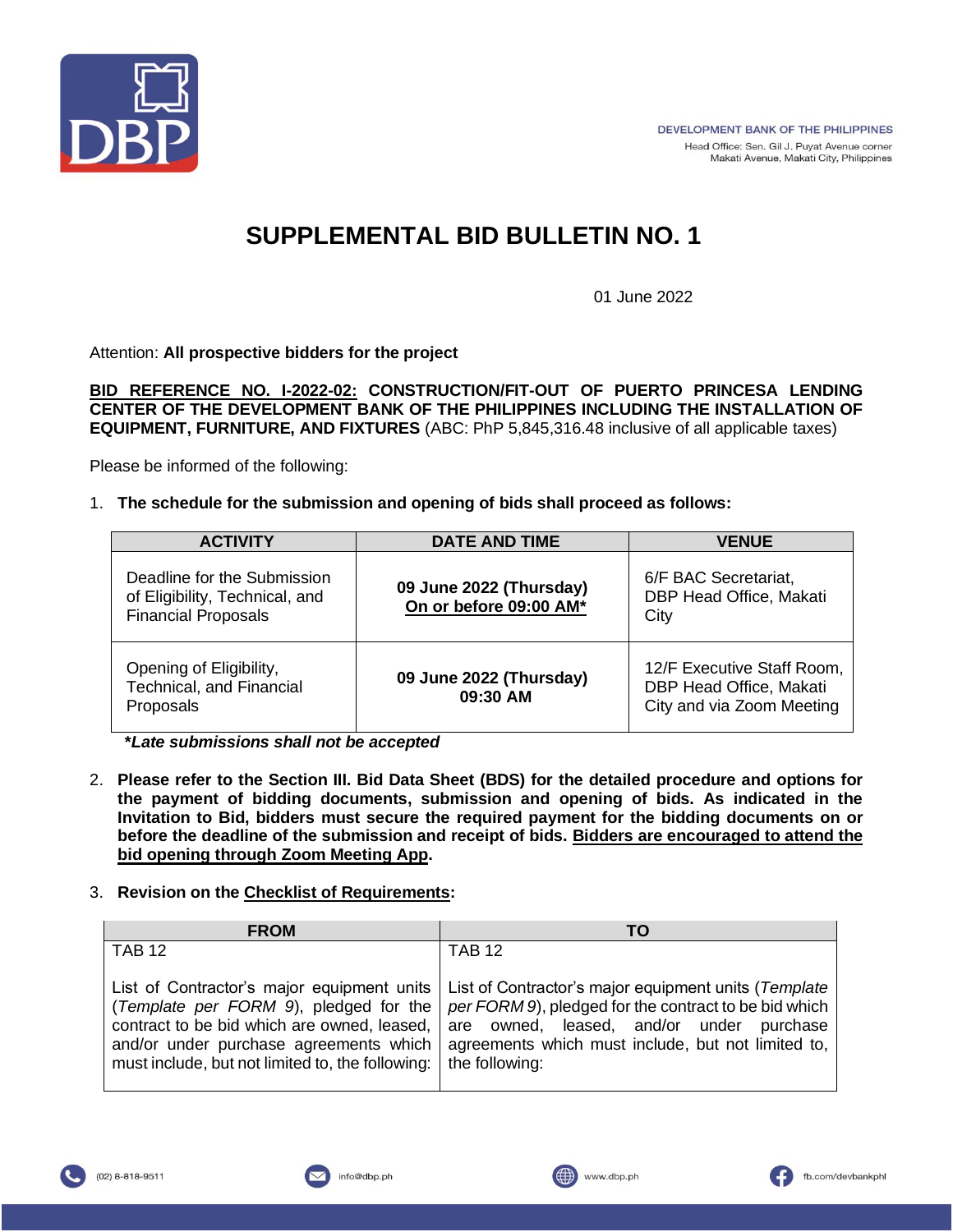

# **SUPPLEMENTAL BID BULLETIN NO. 1**

01 June 2022

Attention: **All prospective bidders for the project**

**BID REFERENCE NO. I-2022-02: CONSTRUCTION/FIT-OUT OF PUERTO PRINCESA LENDING CENTER OF THE DEVELOPMENT BANK OF THE PHILIPPINES INCLUDING THE INSTALLATION OF EQUIPMENT, FURNITURE, AND FIXTURES** (ABC: PhP 5,845,316.48 inclusive of all applicable taxes)

Please be informed of the following:

## 1. **The schedule for the submission and opening of bids shall proceed as follows:**

| <b>ACTIVITY</b>                                                                             | <b>DATE AND TIME</b>                              | <b>VENUE</b>                                                                       |
|---------------------------------------------------------------------------------------------|---------------------------------------------------|------------------------------------------------------------------------------------|
| Deadline for the Submission<br>of Eligibility, Technical, and<br><b>Financial Proposals</b> | 09 June 2022 (Thursday)<br>On or before 09:00 AM* | 6/F BAC Secretariat,<br>DBP Head Office, Makati<br>City                            |
| Opening of Eligibility,<br>Technical, and Financial<br>Proposals                            | 09 June 2022 (Thursday)<br>09:30 AM               | 12/F Executive Staff Room,<br>DBP Head Office, Makati<br>City and via Zoom Meeting |

**\****Late submissions shall not be accepted*

2. **Please refer to the Section III. Bid Data Sheet (BDS) for the detailed procedure and options for the payment of bidding documents, submission and opening of bids. As indicated in the Invitation to Bid, bidders must secure the required payment for the bidding documents on or before the deadline of the submission and receipt of bids. Bidders are encouraged to attend the bid opening through Zoom Meeting App.**

## 3. **Revision on the Checklist of Requirements:**

| <b>FROM</b>                                                                                                                                                                                                                       | TΟ                                                                                                                                                                                                                                |
|-----------------------------------------------------------------------------------------------------------------------------------------------------------------------------------------------------------------------------------|-----------------------------------------------------------------------------------------------------------------------------------------------------------------------------------------------------------------------------------|
| <b>TAB 12</b>                                                                                                                                                                                                                     | <b>TAB 12</b>                                                                                                                                                                                                                     |
| List of Contractor's major equipment units<br>(Template per FORM 9), pledged for the<br>contract to be bid which are owned, leased,<br>and/or under purchase agreements which<br>must include, but not limited to, the following: | List of Contractor's major equipment units (Template<br>per FORM 9), pledged for the contract to be bid which<br>are owned, leased, and/or under purchase<br>agreements which must include, but not limited to,<br>the following: |



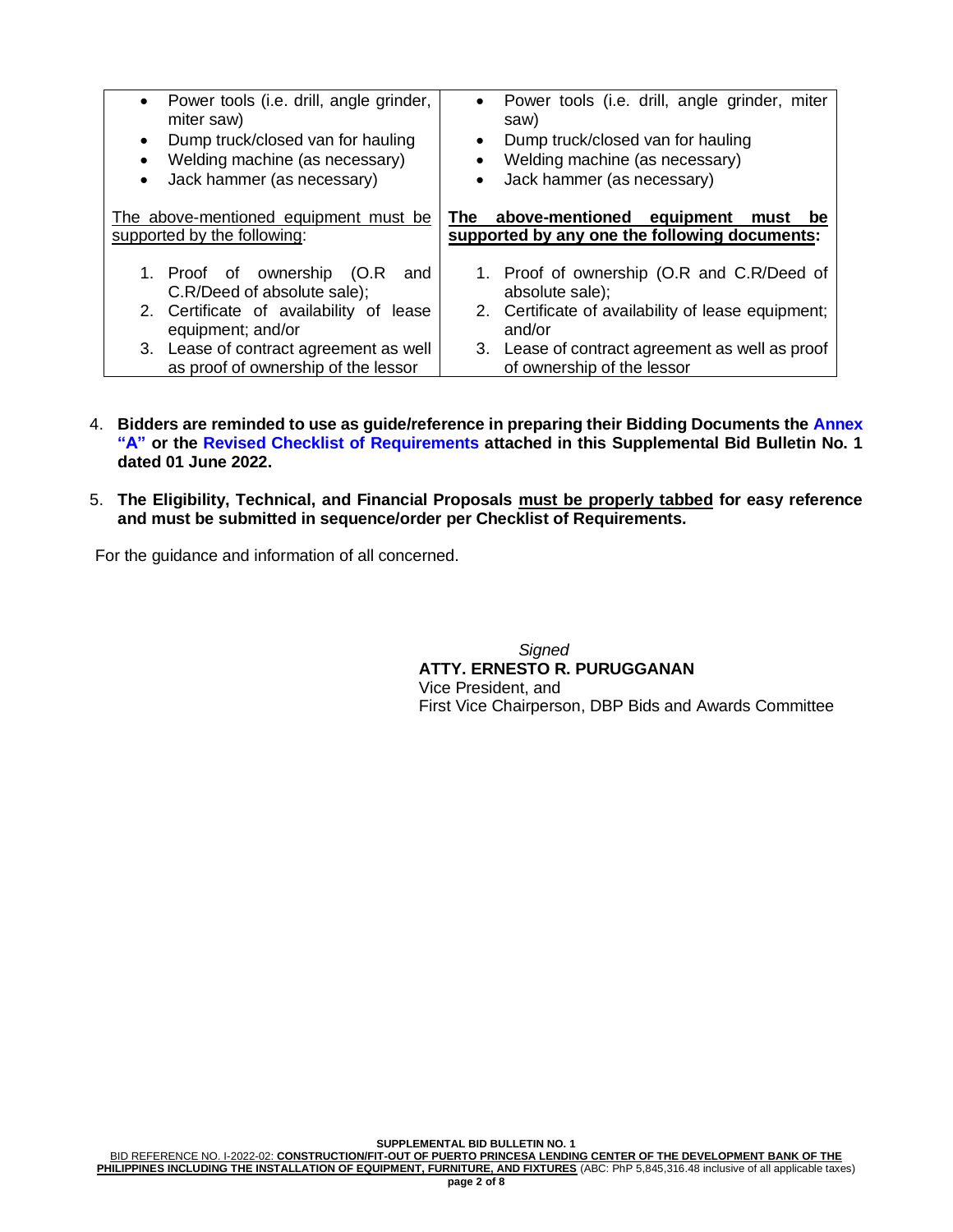| Power tools (i.e. drill, angle grinder,                              | Power tools (i.e. drill, angle grinder, miter                                                   |
|----------------------------------------------------------------------|-------------------------------------------------------------------------------------------------|
| $\bullet$                                                            | $\bullet$                                                                                       |
| miter saw)                                                           | saw)                                                                                            |
| Dump truck/closed van for hauling                                    | Dump truck/closed van for hauling                                                               |
| $\bullet$                                                            | $\bullet$                                                                                       |
| Welding machine (as necessary)                                       | Welding machine (as necessary)                                                                  |
| $\bullet$                                                            | $\bullet$                                                                                       |
| Jack hammer (as necessary)                                           | Jack hammer (as necessary)                                                                      |
| $\bullet$                                                            | $\bullet$                                                                                       |
| The above-mentioned equipment must be<br>supported by the following: | The above-mentioned<br>equipment<br>must<br>be<br>supported by any one the following documents: |
| 1. Proof of ownership (O.R)<br>and<br>C.R/Deed of absolute sale);    | 1. Proof of ownership (O.R and C.R/Deed of<br>absolute sale);                                   |
| 2. Certificate of availability of lease                              | 2. Certificate of availability of lease equipment;                                              |
| equipment; and/or                                                    | and/or                                                                                          |
| 3. Lease of contract agreement as well                               | 3. Lease of contract agreement as well as proof                                                 |
| as proof of ownership of the lessor                                  | of ownership of the lessor                                                                      |

- 4. **Bidders are reminded to use as guide/reference in preparing their Bidding Documents the Annex "A" or the Revised Checklist of Requirements attached in this Supplemental Bid Bulletin No. 1 dated 01 June 2022.**
- 5. **The Eligibility, Technical, and Financial Proposals must be properly tabbed for easy reference and must be submitted in sequence/order per Checklist of Requirements.**

For the guidance and information of all concerned.

 *Signed* **ATTY. ERNESTO R. PURUGGANAN** Vice President, and First Vice Chairperson, DBP Bids and Awards Committee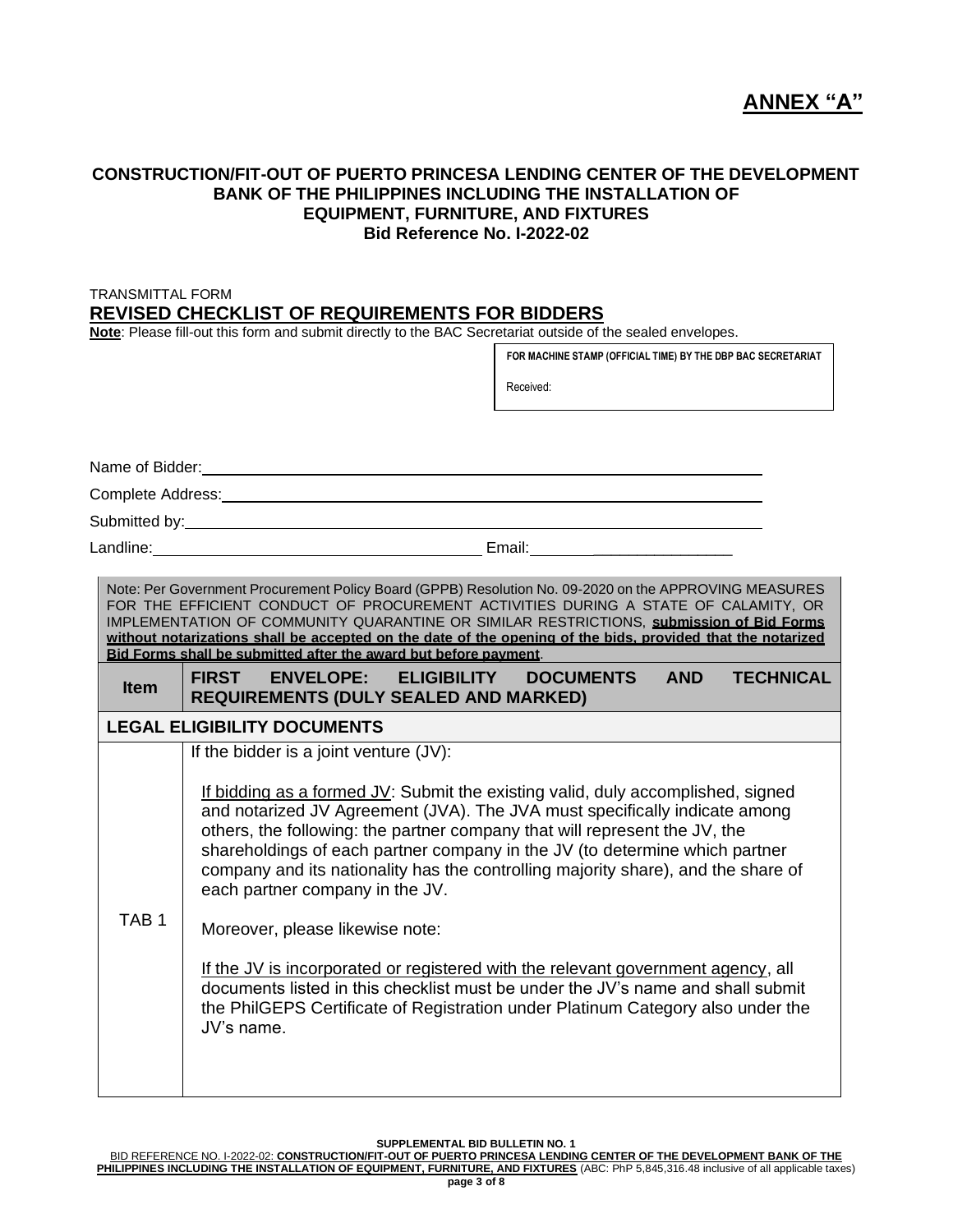## **CONSTRUCTION/FIT-OUT OF PUERTO PRINCESA LENDING CENTER OF THE DEVELOPMENT BANK OF THE PHILIPPINES INCLUDING THE INSTALLATION OF EQUIPMENT, FURNITURE, AND FIXTURES Bid Reference No. I-2022-02**

## TRANSMITTAL FORM **REVISED CHECKLIST OF REQUIREMENTS FOR BIDDERS**

**Note**: Please fill-out this form and submit directly to the BAC Secretariat outside of the sealed envelopes.

| Received:<br>Note: Per Government Procurement Policy Board (GPPB) Resolution No. 09-2020 on the APPROVING MEASURES<br>FOR THE EFFICIENT CONDUCT OF PROCUREMENT ACTIVITIES DURING A STATE OF CALAMITY, OR<br>IMPLEMENTATION OF COMMUNITY QUARANTINE OR SIMILAR RESTRICTIONS, submission of Bid Forms<br>without notarizations shall be accepted on the date of the opening of the bids, provided that the notarized<br>Bid Forms shall be submitted after the award but before payment.<br>FIRST ENVELOPE: ELIGIBILITY<br><b>DOCUMENTS</b><br><b>AND</b><br><b>TECHNICAL</b><br><b>Item</b><br><b>REQUIREMENTS (DULY SEALED AND MARKED)</b><br><b>LEGAL ELIGIBILITY DOCUMENTS</b><br>If the bidder is a joint venture (JV):<br>If bidding as a formed $JV$ : Submit the existing valid, duly accomplished, signed<br>and notarized JV Agreement (JVA). The JVA must specifically indicate among<br>others, the following: the partner company that will represent the JV, the<br>shareholdings of each partner company in the JV (to determine which partner<br>company and its nationality has the controlling majority share), and the share of<br>each partner company in the JV.<br>TAB <sub>1</sub><br>Moreover, please likewise note:<br>If the JV is incorporated or registered with the relevant government agency, all<br>documents listed in this checklist must be under the JV's name and shall submit<br>the PhilGEPS Certificate of Registration under Platinum Category also under the<br>JV's name. |  | FOR MACHINE STAMP (OFFICIAL TIME) BY THE DBP BAC SECRETARIAT |  |  |
|--------------------------------------------------------------------------------------------------------------------------------------------------------------------------------------------------------------------------------------------------------------------------------------------------------------------------------------------------------------------------------------------------------------------------------------------------------------------------------------------------------------------------------------------------------------------------------------------------------------------------------------------------------------------------------------------------------------------------------------------------------------------------------------------------------------------------------------------------------------------------------------------------------------------------------------------------------------------------------------------------------------------------------------------------------------------------------------------------------------------------------------------------------------------------------------------------------------------------------------------------------------------------------------------------------------------------------------------------------------------------------------------------------------------------------------------------------------------------------------------------------------------|--|--------------------------------------------------------------|--|--|
| Name of Bidder:<br><u>Name</u> of Bidder:<br>Complete Address: National Complete Address:<br>Landline: 2008. [2010] [2010] [2010] [2010] [2010] Email: [2010] [2010] [2010] [2010] [2010] [2010] [                                                                                                                                                                                                                                                                                                                                                                                                                                                                                                                                                                                                                                                                                                                                                                                                                                                                                                                                                                                                                                                                                                                                                                                                                                                                                                                 |  |                                                              |  |  |
|                                                                                                                                                                                                                                                                                                                                                                                                                                                                                                                                                                                                                                                                                                                                                                                                                                                                                                                                                                                                                                                                                                                                                                                                                                                                                                                                                                                                                                                                                                                    |  |                                                              |  |  |
|                                                                                                                                                                                                                                                                                                                                                                                                                                                                                                                                                                                                                                                                                                                                                                                                                                                                                                                                                                                                                                                                                                                                                                                                                                                                                                                                                                                                                                                                                                                    |  |                                                              |  |  |
|                                                                                                                                                                                                                                                                                                                                                                                                                                                                                                                                                                                                                                                                                                                                                                                                                                                                                                                                                                                                                                                                                                                                                                                                                                                                                                                                                                                                                                                                                                                    |  |                                                              |  |  |
|                                                                                                                                                                                                                                                                                                                                                                                                                                                                                                                                                                                                                                                                                                                                                                                                                                                                                                                                                                                                                                                                                                                                                                                                                                                                                                                                                                                                                                                                                                                    |  |                                                              |  |  |
|                                                                                                                                                                                                                                                                                                                                                                                                                                                                                                                                                                                                                                                                                                                                                                                                                                                                                                                                                                                                                                                                                                                                                                                                                                                                                                                                                                                                                                                                                                                    |  |                                                              |  |  |
|                                                                                                                                                                                                                                                                                                                                                                                                                                                                                                                                                                                                                                                                                                                                                                                                                                                                                                                                                                                                                                                                                                                                                                                                                                                                                                                                                                                                                                                                                                                    |  |                                                              |  |  |
|                                                                                                                                                                                                                                                                                                                                                                                                                                                                                                                                                                                                                                                                                                                                                                                                                                                                                                                                                                                                                                                                                                                                                                                                                                                                                                                                                                                                                                                                                                                    |  |                                                              |  |  |
|                                                                                                                                                                                                                                                                                                                                                                                                                                                                                                                                                                                                                                                                                                                                                                                                                                                                                                                                                                                                                                                                                                                                                                                                                                                                                                                                                                                                                                                                                                                    |  |                                                              |  |  |
|                                                                                                                                                                                                                                                                                                                                                                                                                                                                                                                                                                                                                                                                                                                                                                                                                                                                                                                                                                                                                                                                                                                                                                                                                                                                                                                                                                                                                                                                                                                    |  |                                                              |  |  |

**SUPPLEMENTAL BID BULLETIN NO. 1**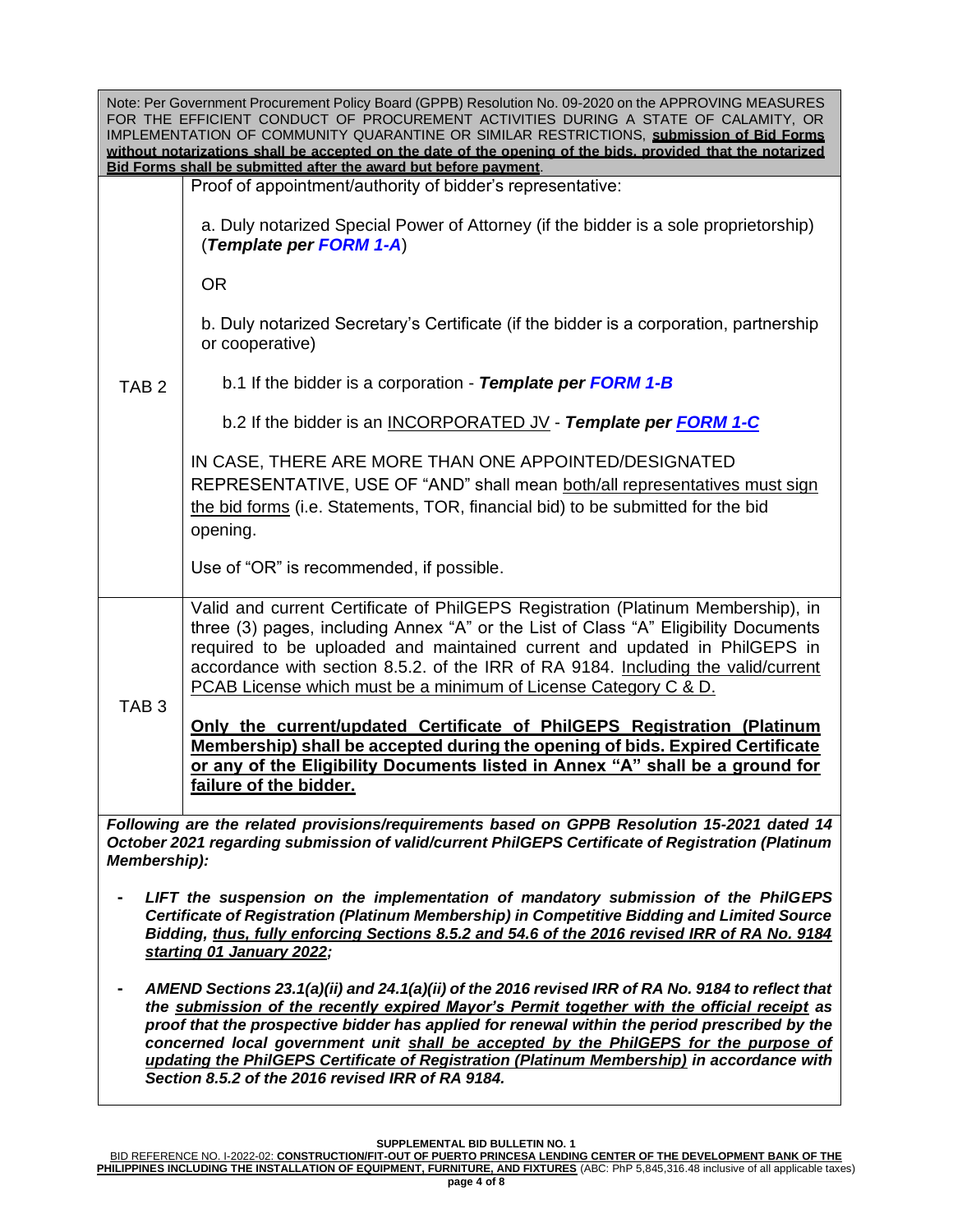| Note: Per Government Procurement Policy Board (GPPB) Resolution No. 09-2020 on the APPROVING MEASURES<br>FOR THE EFFICIENT CONDUCT OF PROCUREMENT ACTIVITIES DURING A STATE OF CALAMITY, OR<br>IMPLEMENTATION OF COMMUNITY QUARANTINE OR SIMILAR RESTRICTIONS, submission of Bid Forms<br>without notarizations shall be accepted on the date of the opening of the bids, provided that the notarized<br>Bid Forms shall be submitted after the award but before payment. |                                                                                                                                                                                                                                                                                                                                                                                                                                                                                         |  |  |
|---------------------------------------------------------------------------------------------------------------------------------------------------------------------------------------------------------------------------------------------------------------------------------------------------------------------------------------------------------------------------------------------------------------------------------------------------------------------------|-----------------------------------------------------------------------------------------------------------------------------------------------------------------------------------------------------------------------------------------------------------------------------------------------------------------------------------------------------------------------------------------------------------------------------------------------------------------------------------------|--|--|
|                                                                                                                                                                                                                                                                                                                                                                                                                                                                           | Proof of appointment/authority of bidder's representative:                                                                                                                                                                                                                                                                                                                                                                                                                              |  |  |
|                                                                                                                                                                                                                                                                                                                                                                                                                                                                           | a. Duly notarized Special Power of Attorney (if the bidder is a sole proprietorship)<br>(Template per FORM 1-A)                                                                                                                                                                                                                                                                                                                                                                         |  |  |
|                                                                                                                                                                                                                                                                                                                                                                                                                                                                           | <b>OR</b>                                                                                                                                                                                                                                                                                                                                                                                                                                                                               |  |  |
|                                                                                                                                                                                                                                                                                                                                                                                                                                                                           | b. Duly notarized Secretary's Certificate (if the bidder is a corporation, partnership<br>or cooperative)                                                                                                                                                                                                                                                                                                                                                                               |  |  |
| TAB <sub>2</sub>                                                                                                                                                                                                                                                                                                                                                                                                                                                          | b.1 If the bidder is a corporation - Template per FORM 1-B                                                                                                                                                                                                                                                                                                                                                                                                                              |  |  |
|                                                                                                                                                                                                                                                                                                                                                                                                                                                                           | b.2 If the bidder is an INCORPORATED JV - Template per FORM 1-C                                                                                                                                                                                                                                                                                                                                                                                                                         |  |  |
|                                                                                                                                                                                                                                                                                                                                                                                                                                                                           | IN CASE, THERE ARE MORE THAN ONE APPOINTED/DESIGNATED<br>REPRESENTATIVE, USE OF "AND" shall mean both/all representatives must sign<br>the bid forms (i.e. Statements, TOR, financial bid) to be submitted for the bid<br>opening.                                                                                                                                                                                                                                                      |  |  |
|                                                                                                                                                                                                                                                                                                                                                                                                                                                                           | Use of "OR" is recommended, if possible.                                                                                                                                                                                                                                                                                                                                                                                                                                                |  |  |
|                                                                                                                                                                                                                                                                                                                                                                                                                                                                           | Valid and current Certificate of PhilGEPS Registration (Platinum Membership), in<br>three (3) pages, including Annex "A" or the List of Class "A" Eligibility Documents<br>required to be uploaded and maintained current and updated in PhilGEPS in<br>accordance with section 8.5.2. of the IRR of RA 9184. Including the valid/current<br>PCAB License which must be a minimum of License Category C & D.                                                                            |  |  |
| TAB <sub>3</sub>                                                                                                                                                                                                                                                                                                                                                                                                                                                          | Only the current/updated Certificate of PhilGEPS Registration (Platinum<br>Membership) shall be accepted during the opening of bids. Expired Certificate<br>or any of the Eligibility Documents listed in Annex "A" shall be a ground for<br>failure of the bidder.                                                                                                                                                                                                                     |  |  |
| <b>Membership):</b>                                                                                                                                                                                                                                                                                                                                                                                                                                                       | Following are the related provisions/requirements based on GPPB Resolution 15-2021 dated 14<br>October 2021 regarding submission of valid/current PhilGEPS Certificate of Registration (Platinum                                                                                                                                                                                                                                                                                        |  |  |
| LIFT the suspension on the implementation of mandatory submission of the PhilGEPS<br>Certificate of Registration (Platinum Membership) in Competitive Bidding and Limited Source<br>Bidding, thus, fully enforcing Sections 8.5.2 and 54.6 of the 2016 revised IRR of RA No. 9184<br>starting 01 January 2022;                                                                                                                                                            |                                                                                                                                                                                                                                                                                                                                                                                                                                                                                         |  |  |
|                                                                                                                                                                                                                                                                                                                                                                                                                                                                           | AMEND Sections 23.1(a)(ii) and 24.1(a)(ii) of the 2016 revised IRR of RA No. 9184 to reflect that<br>the submission of the recently expired Mayor's Permit together with the official receipt as<br>proof that the prospective bidder has applied for renewal within the period prescribed by the<br>concerned local government unit shall be accepted by the PhilGEPS for the purpose of<br>updating the PhilGEPS Certificate of Registration (Platinum Membership) in accordance with |  |  |

**SUPPLEMENTAL BID BULLETIN NO. 1**

*Section 8.5.2 of the 2016 revised IRR of RA 9184.*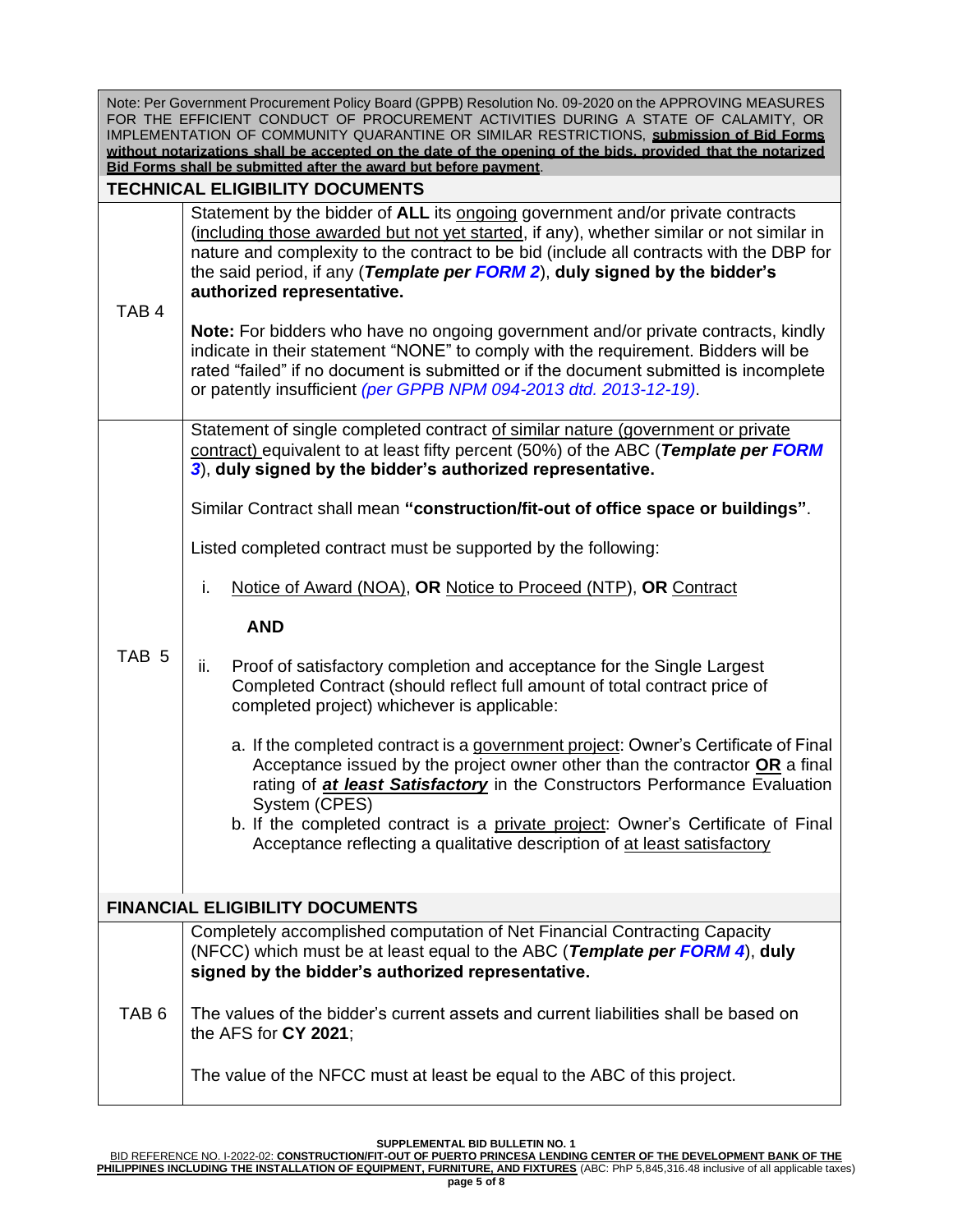| Note: Per Government Procurement Policy Board (GPPB) Resolution No. 09-2020 on the APPROVING MEASURES       |  |  |
|-------------------------------------------------------------------------------------------------------------|--|--|
| FOR THE EFFICIENT CONDUCT OF PROCUREMENT ACTIVITIES DURING A STATE OF CALAMITY, OR                          |  |  |
| IMPLEMENTATION OF COMMUNITY QUARANTINE OR SIMILAR RESTRICTIONS, submission of Bid Forms                     |  |  |
| without notarizations shall be accepted on the date of the opening of the bids, provided that the notarized |  |  |
| Bid Forms shall be submitted after the award but before payment.                                            |  |  |
|                                                                                                             |  |  |

# **TECHNICAL ELIGIBILITY DOCUMENTS**

Statement by the bidder of **ALL** its ongoing government and/or private contracts (including those awarded but not yet started, if any), whether similar or not similar in nature and complexity to the contract to be bid (include all contracts with the DBP for the said period, if any (*Template per FORM 2*), **duly signed by the bidder's authorized representative.**

## TAB 4 **Note:** For bidders who have no ongoing government and/or private contracts, kindly indicate in their statement "NONE" to comply with the requirement. Bidders will be rated "failed" if no document is submitted or if the document submitted is incomplete or patently insufficient *(per GPPB NPM 094-2013 dtd. 2013-12-19)*.

Statement of single completed contract of similar nature (government or private contract) equivalent to at least fifty percent (50%) of the ABC (*Template per FORM 3*), **duly signed by the bidder's authorized representative.**

Similar Contract shall mean **"construction/fit-out of office space or buildings"**.

Listed completed contract must be supported by the following:

i. Notice of Award (NOA), **OR** Notice to Proceed (NTP), **OR** Contract

## **AND**

- TAB 5
	- ii. Proof of satisfactory completion and acceptance for the Single Largest Completed Contract (should reflect full amount of total contract price of completed project) whichever is applicable:
		- a. If the completed contract is a government project: Owner's Certificate of Final Acceptance issued by the project owner other than the contractor **OR** a final rating of *at least Satisfactory* in the Constructors Performance Evaluation System (CPES)
		- b. If the completed contract is a private project: Owner's Certificate of Final Acceptance reflecting a qualitative description of at least satisfactory

# **FINANCIAL ELIGIBILITY DOCUMENTS**

Completely accomplished computation of Net Financial Contracting Capacity (NFCC) which must be at least equal to the ABC (*Template per FORM 4*), **duly signed by the bidder's authorized representative.**

TAB 6 The values of the bidder's current assets and current liabilities shall be based on the AFS for **CY 2021**;

The value of the NFCC must at least be equal to the ABC of this project.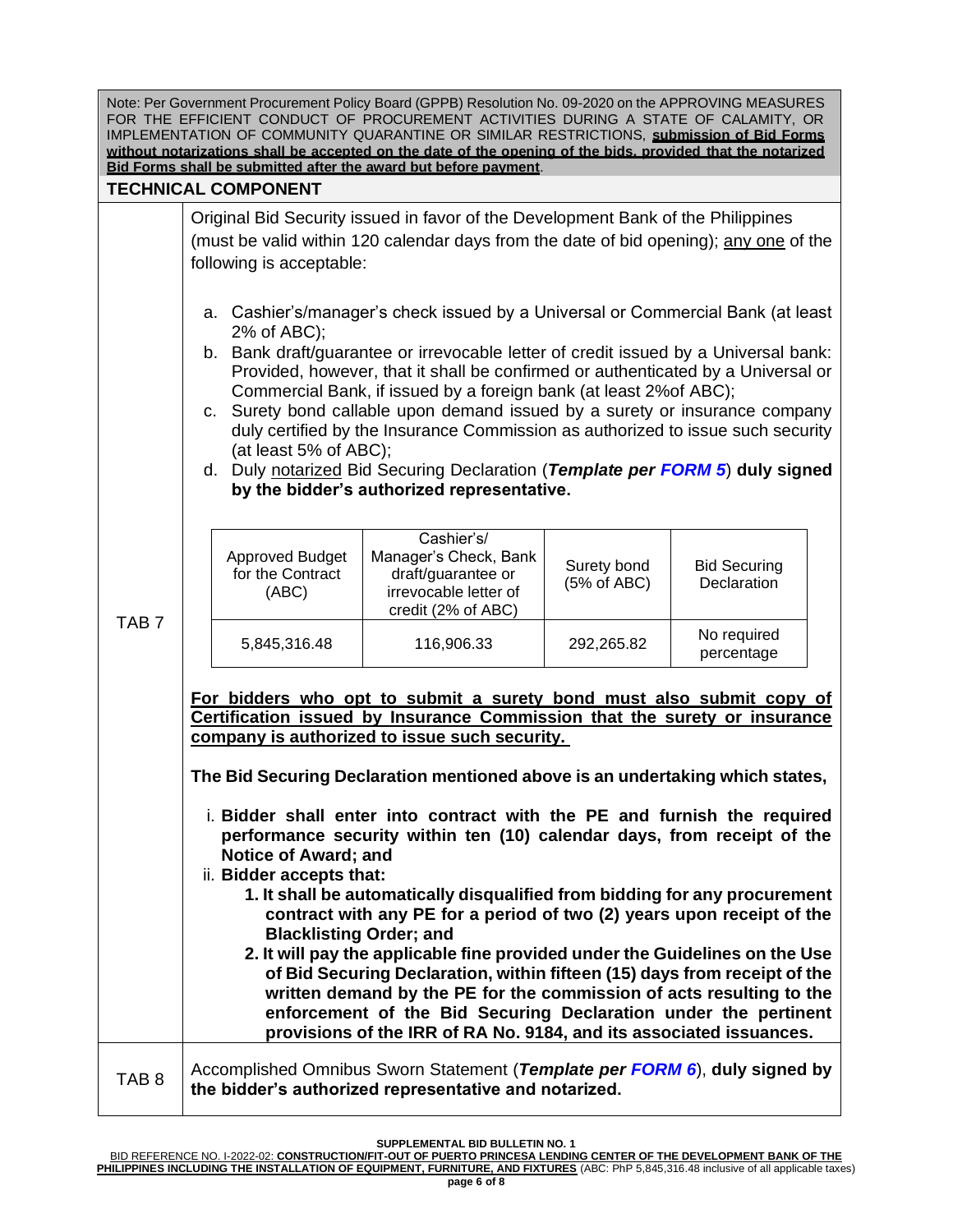| Note: Per Government Procurement Policy Board (GPPB) Resolution No. 09-2020 on the APPROVING MEASURES       |  |  |
|-------------------------------------------------------------------------------------------------------------|--|--|
| FOR THE EFFICIENT CONDUCT OF PROCUREMENT ACTIVITIES DURING A STATE OF CALAMITY, OR                          |  |  |
| IMPLEMENTATION OF COMMUNITY QUARANTINE OR SIMILAR RESTRICTIONS, submission of Bid Forms                     |  |  |
| without notarizations shall be accepted on the date of the opening of the bids, provided that the notarized |  |  |
| Bid Forms shall be submitted after the award but before payment.                                            |  |  |

## **TECHNICAL COMPONENT**

Original Bid Security issued in favor of the Development Bank of the Philippines (must be valid within 120 calendar days from the date of bid opening); any one of the following is acceptable:

- a. Cashier's/manager's check issued by a Universal or Commercial Bank (at least 2% of ABC);
- b. Bank draft/guarantee or irrevocable letter of credit issued by a Universal bank: Provided, however, that it shall be confirmed or authenticated by a Universal or Commercial Bank, if issued by a foreign bank (at least 2%of ABC);
- c. Surety bond callable upon demand issued by a surety or insurance company duly certified by the Insurance Commission as authorized to issue such security (at least 5% of ABC);
- d. Duly notarized Bid Securing Declaration (*Template per FORM 5*) **duly signed by the bidder's authorized representative.**

|  | Approved Budget<br>for the Contract<br>(ABC) | Cashier's/<br>Manager's Check, Bank<br>draft/guarantee or<br>irrevocable letter of<br>credit (2% of ABC) | Surety bond<br>(5% of ABC) | <b>Bid Securing</b><br>Declaration |
|--|----------------------------------------------|----------------------------------------------------------------------------------------------------------|----------------------------|------------------------------------|
|  | 5,845,316.48                                 | 116,906.33                                                                                               | 292,265.82                 | No required<br>percentage          |

TAB 7

**For bidders who opt to submit a surety bond must also submit copy of Certification issued by Insurance Commission that the surety or insurance company is authorized to issue such security.**

**The Bid Securing Declaration mentioned above is an undertaking which states,**

- i. **Bidder shall enter into contract with the PE and furnish the required performance security within ten (10) calendar days, from receipt of the Notice of Award; and**
- ii. **Bidder accepts that:**
	- **1. It shall be automatically disqualified from bidding for any procurement contract with any PE for a period of two (2) years upon receipt of the Blacklisting Order; and**
	- **2. It will pay the applicable fine provided under the Guidelines on the Use of Bid Securing Declaration, within fifteen (15) days from receipt of the written demand by the PE for the commission of acts resulting to the enforcement of the Bid Securing Declaration under the pertinent provisions of the IRR of RA No. 9184, and its associated issuances.**

TAB 8 Accomplished Omnibus Sworn Statement (*Template per FORM 6*), **duly signed by the bidder's authorized representative and notarized.**

**SUPPLEMENTAL BID BULLETIN NO. 1**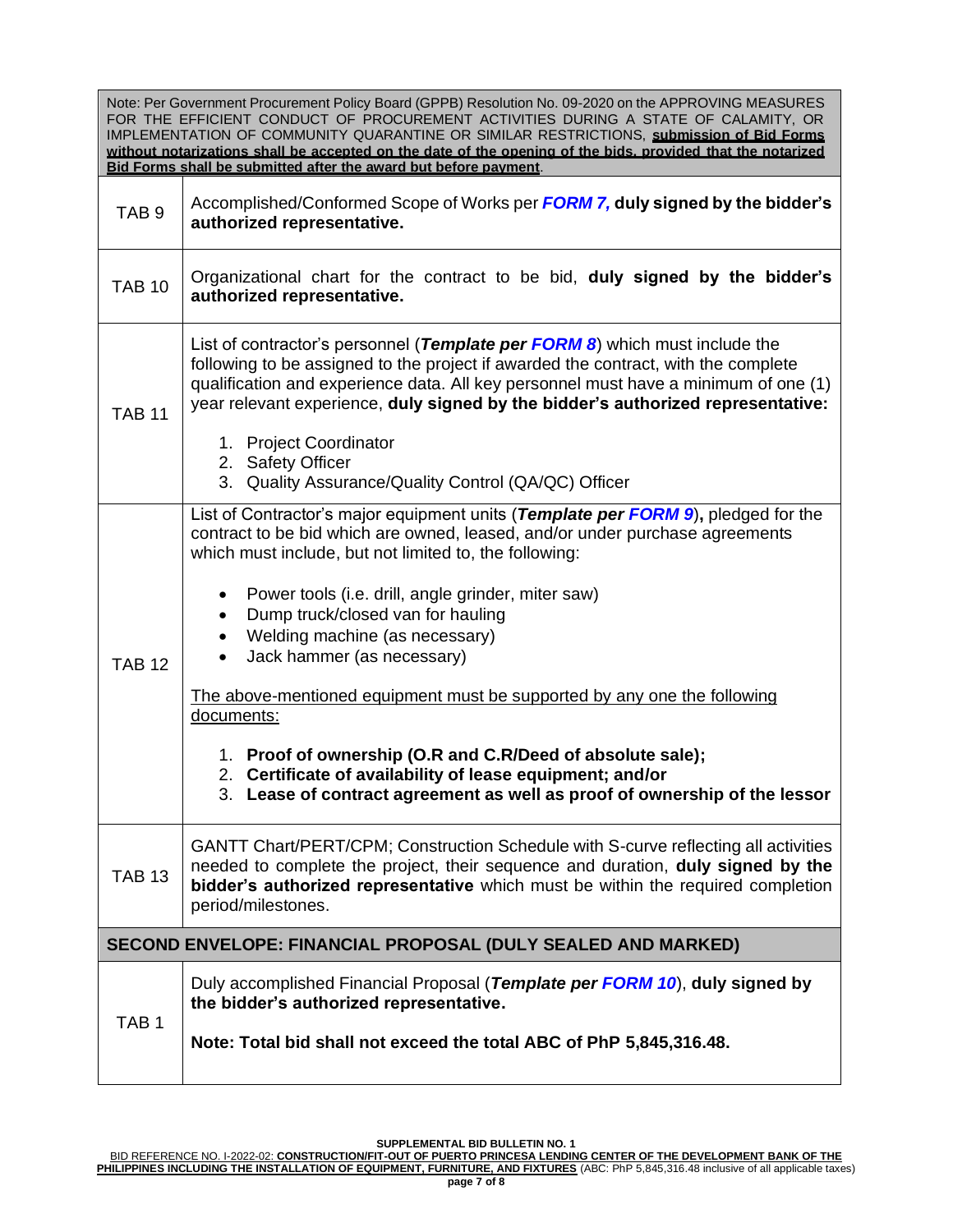Note: Per Government Procurement Policy Board (GPPB) Resolution No. 09-2020 on the APPROVING MEASURES FOR THE EFFICIENT CONDUCT OF PROCUREMENT ACTIVITIES DURING A STATE OF CALAMITY, OR IMPLEMENTATION OF COMMUNITY QUARANTINE OR SIMILAR RESTRICTIONS, **submission of Bid Forms without notarizations shall be accepted on the date of the opening of the bids, provided that the notarized Bid Forms shall be submitted after the award but before payment**.

| TAB <sub>9</sub> | Accomplished/Conformed Scope of Works per FORM 7, duly signed by the bidder's<br>authorized representative.                                                                                                                                                                                                                                                                                                                                                                                                                                                                                                                                                                                                                                   |  |
|------------------|-----------------------------------------------------------------------------------------------------------------------------------------------------------------------------------------------------------------------------------------------------------------------------------------------------------------------------------------------------------------------------------------------------------------------------------------------------------------------------------------------------------------------------------------------------------------------------------------------------------------------------------------------------------------------------------------------------------------------------------------------|--|
| <b>TAB 10</b>    | Organizational chart for the contract to be bid, duly signed by the bidder's<br>authorized representative.                                                                                                                                                                                                                                                                                                                                                                                                                                                                                                                                                                                                                                    |  |
| <b>TAB 11</b>    | List of contractor's personnel (Template per FORM 8) which must include the<br>following to be assigned to the project if awarded the contract, with the complete<br>qualification and experience data. All key personnel must have a minimum of one (1)<br>year relevant experience, duly signed by the bidder's authorized representative:<br>1. Project Coordinator<br>2. Safety Officer<br>3. Quality Assurance/Quality Control (QA/QC) Officer                                                                                                                                                                                                                                                                                           |  |
| <b>TAB 12</b>    | List of Contractor's major equipment units (Template per FORM 9), pledged for the<br>contract to be bid which are owned, leased, and/or under purchase agreements<br>which must include, but not limited to, the following:<br>Power tools (i.e. drill, angle grinder, miter saw)<br>$\bullet$<br>Dump truck/closed van for hauling<br>$\bullet$<br>Welding machine (as necessary)<br>$\bullet$<br>Jack hammer (as necessary)<br>$\bullet$<br>The above-mentioned equipment must be supported by any one the following<br>documents:<br>1. Proof of ownership (O.R and C.R/Deed of absolute sale);<br>2. Certificate of availability of lease equipment; and/or<br>3. Lease of contract agreement as well as proof of ownership of the lessor |  |
| <b>TAB 13</b>    | GANTT Chart/PERT/CPM; Construction Schedule with S-curve reflecting all activities<br>needed to complete the project, their sequence and duration, duly signed by the<br>bidder's authorized representative which must be within the required completion<br>period/milestones.                                                                                                                                                                                                                                                                                                                                                                                                                                                                |  |
|                  | SECOND ENVELOPE: FINANCIAL PROPOSAL (DULY SEALED AND MARKED)                                                                                                                                                                                                                                                                                                                                                                                                                                                                                                                                                                                                                                                                                  |  |
| TAB <sub>1</sub> | Duly accomplished Financial Proposal (Template per FORM 10), duly signed by<br>the bidder's authorized representative.<br>Note: Total bid shall not exceed the total ABC of PhP 5,845,316.48.                                                                                                                                                                                                                                                                                                                                                                                                                                                                                                                                                 |  |